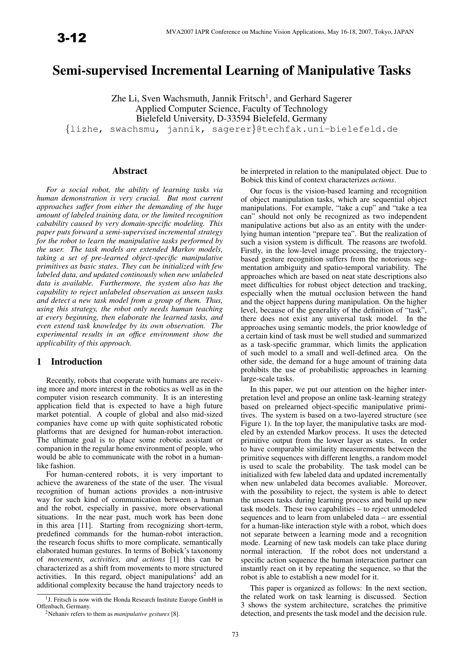# Semi-supervised Incremental Learning of Manipulative Tasks

Zhe Li, Sven Wachsmuth, Jannik Fritsch<sup>1</sup>, and Gerhard Sagerer Applied Computer Science, Faculty of Technology Bielefeld University, D-33594 Bielefeld, Germany

{lizhe, swachsmu, jannik, sagerer}@techfak.uni-bielefeld.de

#### Abstract

*For a social robot, the ability of learning tasks via human demonstration is very crucial. But most current approaches suffer from either the demanding of the huge amount of labeled training data, or the limited recognition cabability caused by very domain-specific modeling. This paper puts forward a semi-supervised incremental strategy for the robot to learn the manipulative tasks performed by the user. The task models are extended Markov models, taking a set of pre-learned object-specific manipulative primitives as basic states. They can be initialized with few labeled data, and updated continously when new unlabeled data is available. Furthermore, the system also has the capability to reject unlabeled observation as unseen tasks and detect a new task model from a group of them. Thus, using this strategy, the robot only needs human teaching at every beginning, then elaborate the learned tasks, and even extend task knowledge by its own observation. The experimental results in an office environment show the applicability of this approach.*

#### 1 Introduction

Recently, robots that cooperate with humans are receiving more and more interest in the robotics as well as in the computer vision research community. It is an interesting application field that is expected to have a high future market potential. A couple of global and also mid-sized companies have come up with quite sophisticated robotic platforms that are designed for human-robot interaction. The ultimate goal is to place some robotic assistant or companion in the regular home environment of people, who would be able to communicate with the robot in a humanlike fashion.

For human-centered robots, it is very important to achieve the awareness of the state of the user. The visual recognition of human actions provides a non-intrusive way for such kind of communication between a human and the robot, especially in passive, more observational situations. In the near past, much work has been done in this area [11]. Starting from recognizing short-term, predefined commands for the human-robot interaction, the research focus shifts to more complicate, semantically elaborated human gestures. In terms of Bobick's taxonomy of *movements, activities, and actions* [1] this can be characterized as a shift from movements to more structured activities. In this regard, object manipulations<sup>2</sup> add an additional complexity because the hand trajectory needs to

be interpreted in relation to the manipulated object. Due to Bobick this kind of context characterizes *actions*.

Our focus is the vision-based learning and recognition of object manipulation tasks, which are sequential object manipulations. For example, "take a cup" and "take a tea can" should not only be recognized as two independent manipulative actions but also as an entity with the underlying human intention "prepare tea". But the realization of such a vision system is difficult. The reasons are twofold. Firstly, in the low-level image processing, the trajectorybased gesture recognition suffers from the notorious segmentation ambiguity and spatio-temporal variability. The approaches which are based on neat state descriptions also meet difficulties for robust object detection and tracking, especially when the mutual occlusion between the hand and the object happens during manipulation. On the higher level, because of the generality of the definition of "task", there does not exist any universal task model. In the approaches using semantic models, the prior knowledge of a certain kind of task must be well studied and summarized as a task-specific grammar, which limits the application of such model to a small and well-defined area. On the other side, the demand for a huge amount of training data prohibits the use of probabilistic approaches in learning large-scale tasks.

In this paper, we put our attention on the higher interpretation level and propose an online task-learning strategy based on prelearned object-specific manipulative primitives. The system is based on a two-layered structure (see Figure 1). In the top layer, the manipulative tasks are modeled by an extended Markov process. It uses the detected primitive output from the lower layer as states. In order to have comparable similarity measurements between the primitive sequences with different lengths, a random model is used to scale the probability. The task model can be initialized with few labeled data and updated incrementally when new unlabeled data becomes avaliable. Moreover, with the possibility to reject, the system is able to detect the unseen tasks during learning process and build up new task models. These two capabilities – to reject unmodeled sequences and to learn from unlabeled data – are essential for a human-like interaction style with a robot, which does not separate between a learning mode and a recognition mode. Learning of new task models can take place during normal interaction. If the robot does not understand a specific action sequence the human interaction partner can instantly react on it by repeating the sequence, so that the robot is able to establish a new model for it.

This paper is organized as follows: In the next section, the related work on task learning is discussed. Section 3 shows the system architecture, scratches the primitive detection, and presents the task model and the decision rule.

<sup>&</sup>lt;sup>1</sup>J. Fritsch is now with the Honda Research Institute Europe GmbH in Offenbach, Germany.

<sup>2</sup>Nehaniv refers to them as *manipulative gestures* [8].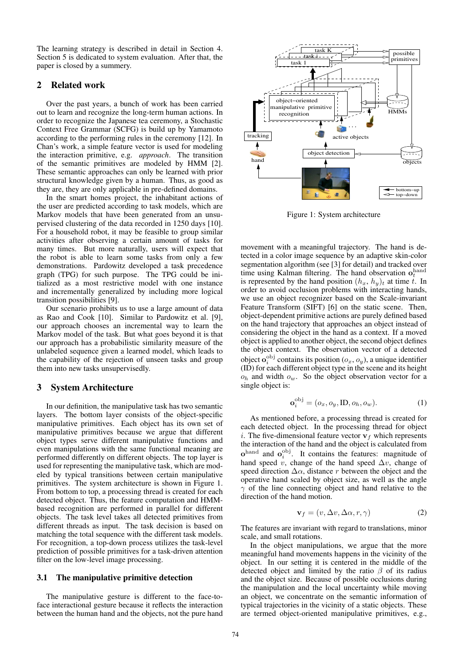The learning strategy is described in detail in Section 4. Section 5 is dedicated to system evaluation. After that, the paper is closed by a summery.

# 2 Related work

Over the past years, a bunch of work has been carried out to learn and recognize the long-term human actions. In order to recognize the Japanese tea ceremony, a Stochastic Context Free Grammar (SCFG) is build up by Yamamoto according to the performing rules in the ceremony [12]. In Chan's work, a simple feature vector is used for modeling the interaction primitive, e.g. *approach*. The transition of the semantic primitives are modeled by HMM [2]. These semantic approaches can only be learned with prior structural knowledge given by a human. Thus, as good as they are, they are only applicable in pre-defined domains.

In the smart homes project, the inhabitant actions of the user are predicted according to task models, which are Markov models that have been generated from an unsupervised clustering of the data recorded in 1250 days [10]. For a household robot, it may be feasible to group similar activities after observing a certain amount of tasks for many times. But more naturally, users will expect that the robot is able to learn some tasks from only a few demonstrations. Pardowitz developed a task precedence graph (TPG) for such purpose. The TPG could be initialized as a most restrictive model with one instance and incrementally generalized by including more logical transition possibilities [9].

Our scenario prohibits us to use a large amount of data as Rao and Cook [10]. Similar to Pardowitz et al. [9], our approach chooses an incremental way to learn the Markov model of the task. But what goes beyond it is that our approach has a probabilistic similarity measure of the unlabeled sequence given a learned model, which leads to the capability of the rejection of unseen tasks and group them into new tasks unsupervisedly.

#### 3 System Architecture

In our definition, the manipulative task has two semantic layers. The bottom layer consists of the object-specific manipulative primitives. Each object has its own set of manipulative primitives because we argue that different object types serve different manipulative functions and even manipulations with the same functional meaning are performed differently on different objects. The top layer is used for representing the manipulative task, which are modeled by typical transitions between certain manipulative primitives. The system architecture is shown in Figure 1. From bottom to top, a processing thread is created for each detected object. Thus, the feature computation and HMMbased recognition are performed in parallel for different objects. The task level takes all detected primitives from different threads as input. The task decision is based on matching the total sequence with the different task models. For recognition, a top-down process utilizes the task-level prediction of possible primitives for a task-driven attention filter on the low-level image processing.

# 3.1 The manipulative primitive detection

The manipulative gesture is different to the face-toface interactional gesture because it reflects the interaction between the human hand and the objects, not the pure hand



Figure 1: System architecture

movement with a meaningful trajectory. The hand is detected in a color image sequence by an adaptive skin-color segmentation algorithm (see [3] for detail) and tracked over time using Kalman filtering. The hand observation  $o_t^{\text{hand}}$ is represented by the hand position  $(h_x, h_y)_t$  at time t. In order to avoid occlusion problems with interacting hands, we use an object recognizer based on the Scale-invariant Feature Transform (SIFT) [6] on the static scene. Then, object-dependent primitive actions are purely defined based on the hand trajectory that approaches an object instead of considering the object in the hand as a context. If a moved object is applied to another object, the second object defines the object context. The observation vector of a detected object  $o_i^{\text{obj}}$  contains its position  $(o_x, o_y)$ , a unique identifier (ID) for each different object type in the scene and its height  $o_h$  and width  $o_w$ . So the object observation vector for a single object is:

$$
\mathbf{o}_i^{\text{obj}} = (o_x, o_y, \text{ID}, o_h, o_w). \tag{1}
$$

As mentioned before, a processing thread is created for each detected object. In the processing thread for object *i*. The five-dimensional feature vector  $v_f$  which represents the interaction of the hand and the object is calculated from  $\mathbf{o}^{\text{hand}}$  and  $\mathbf{o}^{\text{obj}}_i$ . It contains the features: magnitude of hand speed v, change of the hand speed  $\Delta v$ , change of speed direction  $\Delta \alpha$ , distance r between the object and the operative hand scaled by object size, as well as the angle  $\gamma$  of the line connecting object and hand relative to the direction of the hand motion.

$$
\mathbf{v}_f = (v, \Delta v, \Delta \alpha, r, \gamma) \tag{2}
$$

The features are invariant with regard to translations, minor scale, and small rotations.

In the object manipulations, we argue that the more meaningful hand movements happens in the vicinity of the object. In our setting it is centered in the middle of the detected object and limited by the ratio  $\beta$  of its radius and the object size. Because of possible occlusions during the manipulation and the local uncertainty while moving an object, we concentrate on the semantic information of typical trajectories in the vicinity of a static objects. These are termed object-oriented manipulative primitives, e.g.,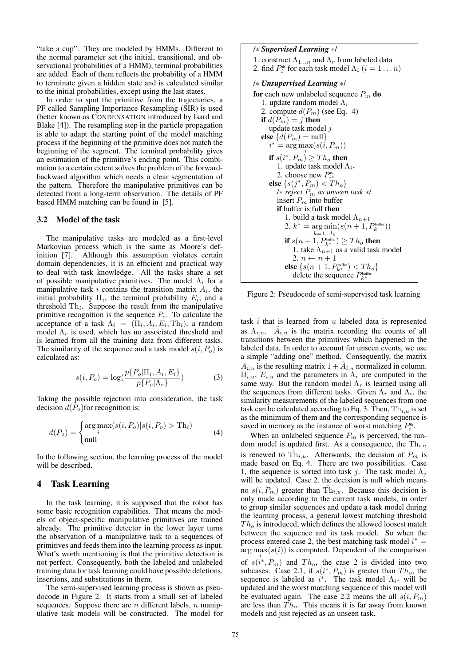"take a cup". They are modeled by HMMs. Different to the normal parameter set (the initial, transitional, and observational probabilities of a HMM), terminal probabilities are added. Each of them reflects the probability of a HMM to terminate given a hidden state and is calculated similar to the initial probabilities, except using the last states.

In order to spot the primitive from the trajectories, a PF called Sampling Importance Resampling (SIR) is used (better known as CONDENSATION introduced by Isard and Blake [4]). The resampling step in the particle propagation is able to adapt the starting point of the model matching process if the beginning of the primitive does not match the beginning of the segment. The terminal probability gives an estimation of the primitive's ending point. This combination to a certain extent solves the problem of the forwardbackward algorithm which needs a clear segmentation of the pattern. Therefore the manipulative primitives can be detected from a long-term observation. The details of PF based HMM matching can be found in [5].

#### 3.2 Model of the task

The manipulative tasks are modeled as a first-level Markovian process which is the same as Moore's definition [7]. Although this assumption violates certain domain dependencies, it is an efficient and practical way to deal with task knowledge. All the tasks share a set of possible manipulative primitives. The model  $\Lambda_i$  for a manipulative task  $i$  contains the transition matrix  $A_i$ , the initial probability  $\Pi_i$ , the terminal probability  $E_i$ , and a threshold  $\text{Th}_i$ . Suppose the result from the manipulative primitive recognition is the sequence  $P<sub>o</sub>$ . To calculate the acceptance of a task  $\Lambda_i = (\Pi_i, A_i, E_i, \text{Th}_i)$ , a random model  $\Lambda_r$  is used, which has no associated threshold and is learned from all the training data from different tasks. The similarity of the sequence and a task model  $s(i, P<sub>o</sub>)$  is calculated as:

$$
s(i, P_o) = \log(\frac{p\{P_o | \Pi_i, A_i, E_i\}}{p\{P_o | \Lambda_r\}})
$$
(3)

Taking the possible rejection into consideration, the task decision  $d(P<sub>o</sub>)$  for recognition is:

$$
d(P_o) = \begin{cases} \arg \max_i (s(i, P_o) | s(i, P_o) > \text{Th}_i) \\ \text{null} \end{cases}
$$
(4)

In the following section, the learning process of the model will be described.

# 4 Task Learning

In the task learning, it is supposed that the robot has some basic recognition capabilities. That means the models of object-specific manipulative primitives are trained already. The primitive detector in the lower layer turns the observation of a manipulative task to a sequences of primitives and feeds them into the learning process as input. What's worth mentioning is that the primitive detection is not perfect. Consequently, both the labeled and unlabeled training data for task learning could have possible deletions, insertions, and substitutions in them.

The semi-supervised learning process is shown as pseudocode in Figure 2. It starts from a small set of labeled sequences. Suppose there are  $n$  different labels,  $n$  manipulative task models will be constructed. The model for /∗ *Supervised Learning* ∗/ 1. construct  $\Lambda_{1...n}$  and  $\Lambda_r$  from labeled data 2. find  $P_i^{\text{th}}$  for each task model  $\Lambda_i$   $(i = 1 \dots n)$ /∗ *Unsupervised Learning* ∗/ for each new unlabeled sequence  $P_m$  do 1. update random model  $\Lambda_r$ 2. compute  $d(P_m)$  (see Eq. 4) if  $d(P_m) = j$  then update task model j else  $\{d(P_m) = \text{null}\}$  $i^* = \arg \max(s(i, P_m))$ if  $s(i^*, P_m) \geq Th_o$  then 1. update task model  $\Lambda_{i^*}$ 2. choose new  $P_{i^*}^{\text{th}}$ else  $\{s(j^*, P_m) < Th_o\}$ /∗ *reject* P<sup>m</sup> *as unseen task* ∗/ insert  $P_m$  into buffer if buffer is full then 1. build a task model  $\Lambda_{n+1}$ 2.  $k^* = \arg \min (s(n+1, P_k^{\text{buffer}}))$  $k=1...l_b$ if  $s(n+1, P_{k^*}^{\text{buffer}}) \geq Th_o$  then 1. take  $\Lambda_{n+1}$  as a valid task model 2.  $n \leftarrow n + 1$ else  $\{s(n+1, P_{k^*}^{\text{buffer}}) < Th_o\}$ delete the sequence  $P_{k^*}^{\text{buffer}}$ 

Figure 2: Pseudocode of semi-supervised task learning

task  $i$  that is learned from  $u$  labeled data is represented as  $\Lambda_{i,u}$ .  $\tilde{A}_{i,u}$  is the matrix recording the counts of all transitions between the primitives which happened in the labeled data. In order to account for unseen events, we use a simple "adding one" method. Consequently, the matrix  $A_{i,u}$  is the resulting matrix  $1 + \tilde{A}_{i,u}$  normalized in column.  $\Pi_{i,u}$ ,  $E_{i,u}$  and the parameters in  $\Lambda_r$  are computed in the same way. But the random model  $\Lambda_r$  is learned using all the sequences from different tasks. Given  $\Lambda_r$  and  $\Lambda_i$ , the similarity measurements of the labeled sequences from one task can be calculated according to Eq. 3. Then,  $\text{Th}_{i,u}$  is set as the minimum of them and the corresponding sequence is saved in memory as the instance of worst matching  $P_i^{\text{th}}$ .

When an unlabeled sequence  $P_m$  is perceived, the random model is updated first. As a consequence, the  $\text{Th}_{i,u}$ is renewed to  $\hat{\text{Th}}_{i,u}$ . Afterwards, the decision of  $P_m$  is made based on Eq. 4. There are two possibilities. Case 1, the sequence is sorted into task j. The task model  $\Lambda_j$ will be updated. Case 2, the decision is null which means no  $s(i, P_m)$  greater than  $\hat{\text{Th}}_{i,u}$ . Because this decision is only made according to the current task models, in order to group similar sequences and update a task model during the learning process, a general lowest matching threshold  $Th<sub>o</sub>$  is introduced, which defines the allowed loosest match between the sequence and its task model. So when the process entered case 2, the best matching task model  $i^* =$  $\arg \max(s(i))$  is computed. Dependent of the comparison of  $s(i^*, P_m)$  and  $Th_o$ , the case 2 is divided into two subcases. Case 2.1, if  $s(i^*, P_m)$  is greater than  $Th_o$ , the sequence is labeled as  $i^*$ . The task model  $\Lambda_{i^*}$  will be updated and the worst matching sequence of this model will be evaluated again. The case 2.2 means the all  $s(i, P_m)$ are less than  $Th_o$ . This means it is far away from known models and just rejected as an unseen task.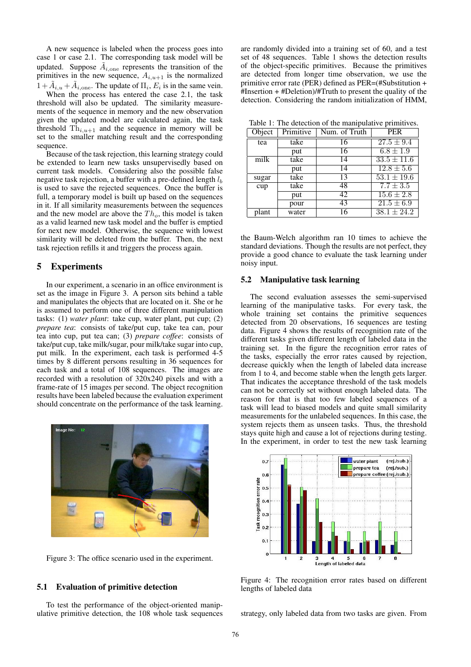A new sequence is labeled when the process goes into case 1 or case 2.1. The corresponding task model will be updated. Suppose  $\tilde{A}_{i, \text{one}}$  represents the transition of the primitives in the new sequence,  $A_{i,u+1}$  is the normalized  $1 + \tilde{A}_{i,u} + \tilde{A}_{i,one}$ . The update of  $\Pi_i, E_i$  is in the same vein.

When the process has entered the case 2.1, the task threshold will also be updated. The similarity measurements of the sequence in memory and the new observation given the updated model are calculated again, the task threshold  $\text{Th}_{i,u+1}$  and the sequence in memory will be set to the smaller matching result and the corresponding sequence.

Because of the task rejection, this learning strategy could be extended to learn new tasks unsupervisedly based on current task models. Considering also the possible false negative task rejection, a buffer with a pre-defined length  $l<sub>b</sub>$ is used to save the rejected sequences. Once the buffer is full, a temporary model is built up based on the sequences in it. If all similarity measurements between the sequences and the new model are above the  $Th<sub>o</sub>$ , this model is taken as a valid learned new task model and the buffer is emptied for next new model. Otherwise, the sequence with lowest similarity will be deleted from the buffer. Then, the next task rejection refills it and triggers the process again.

# 5 Experiments

In our experiment, a scenario in an office environment is set as the image in Figure 3. A person sits behind a table and manipulates the objects that are located on it. She or he is assumed to perform one of three different manipulation tasks: (1) *water plant*: take cup, water plant, put cup; (2) *prepare tea*: consists of take/put cup, take tea can, pour tea into cup, put tea can; (3) *prepare coffee*: consists of take/put cup, take milk/sugar, pour milk/take sugar into cup, put milk. In the experiment, each task is performed 4-5 times by 8 different persons resulting in 36 sequences for each task and a total of 108 sequences. The images are recorded with a resolution of 320x240 pixels and with a frame-rate of 15 images per second. The object recognition results have been labeled because the evaluation experiment should concentrate on the performance of the task learning.



Figure 3: The office scenario used in the experiment.

#### 5.1 Evaluation of primitive detection

To test the performance of the object-oriented manipulative primitive detection, the 108 whole task sequences are randomly divided into a training set of 60, and a test set of 48 sequences. Table 1 shows the detection results of the object-specific primitives. Because the primitives are detected from longer time observation, we use the primitive error rate (PER) defined as PER=(#Substitution + #Insertion + #Deletion)/#Truth to present the quality of the detection. Considering the random initialization of HMM,

Table 1: The detection of the manipulative primitives.

| Object | Primitive | Num. of Truth | <b>PER</b>      |
|--------|-----------|---------------|-----------------|
| tea    | take      | 16            | $27.5 \pm 9.4$  |
|        | put       | 16            | $6.8 \pm 1.9$   |
| milk   | take      | 14            | $33.5 \pm 11.6$ |
|        | put       | 14            | $12.8 \pm 5.6$  |
| sugar  | take      | 13            | $53.1 \pm 19.6$ |
| cup    | take      | 48            | $7.7 \pm 3.5$   |
|        | put       | 42            | $15.6 \pm 2.8$  |
|        | pour      | 43            | $21.5 \pm 6.9$  |
| plant  | water     | 16            | $38.1 \pm 24.2$ |

the Baum-Welch algorithm ran 10 times to achieve the standard deviations. Though the results are not perfect, they provide a good chance to evaluate the task learning under noisy input.

#### 5.2 Manipulative task learning

The second evaluation assesses the semi-supervised learning of the manipulative tasks. For every task, the whole training set contains the primitive sequences detected from 20 observations, 16 sequences are testing data. Figure 4 shows the results of recognition rate of the different tasks given different length of labeled data in the training set. In the figure the recognition error rates of the tasks, especially the error rates caused by rejection, decrease quickly when the length of labeled data increase from 1 to 4, and become stable when the length gets larger. That indicates the acceptance threshold of the task models can not be correctly set without enough labeled data. The reason for that is that too few labeled sequences of a task will lead to biased models and quite small similarity measurements for the unlabeled sequences. In this case, the system rejects them as unseen tasks. Thus, the threshold stays quite high and cause a lot of rejections during testing. In the experiment, in order to test the new task learning



Figure 4: The recognition error rates based on different lengths of labeled data

strategy, only labeled data from two tasks are given. From